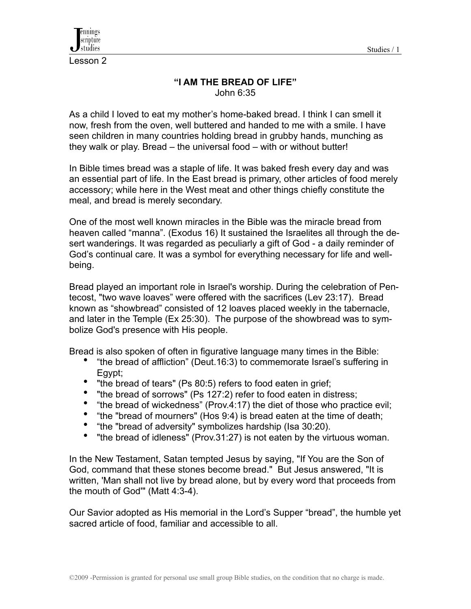



Lesson 2

### **"I AM THE BREAD OF LIFE"** John 6:35

As a child I loved to eat my mother's home-baked bread. I think I can smell it now, fresh from the oven, well buttered and handed to me with a smile. I have seen children in many countries holding bread in grubby hands, munching as they walk or play. Bread – the universal food – with or without butter!

In Bible times bread was a staple of life. It was baked fresh every day and was an essential part of life. In the East bread is primary, other articles of food merely accessory; while here in the West meat and other things chiefly constitute the meal, and bread is merely secondary.

One of the most well known miracles in the Bible was the miracle bread from heaven called "manna". (Exodus 16) It sustained the Israelites all through the desert wanderings. It was regarded as peculiarly a gift of God - a daily reminder of God's continual care. It was a symbol for everything necessary for life and wellbeing.

Bread played an important role in Israel's worship. During the celebration of Pentecost, "two wave loaves" were offered with the sacrifices (Lev 23:17). Bread known as "showbread" consisted of 12 loaves placed weekly in the tabernacle, and later in the Temple (Ex 25:30). The purpose of the showbread was to symbolize God's presence with His people.

Bread is also spoken of often in figurative language many times in the Bible:

- "the bread of affliction" (Deut.16:3) to commemorate Israel's suffering in Egypt;
- Farry the bread of tears" (Ps 80:5) refers to food eaten in grief;
- "the bread of sorrows" (Ps 127:2) refer to food eaten in distress;
- "the bread of wickedness" (Prov.4:17) the diet of those who practice evil;
- "the "bread of mourners" (Hos 9:4) is bread eaten at the time of death;
- "the "bread of adversity" symbolizes hardship (Isa 30:20).
- "the bread of idleness" (Prov.31:27) is not eaten by the virtuous woman.

In the New Testament, Satan tempted Jesus by saying, "If You are the Son of God, command that these stones become bread." But Jesus answered, "It is written, 'Man shall not live by bread alone, but by every word that proceeds from the mouth of God'" (Matt 4:3-4).

Our Savior adopted as His memorial in the Lord's Supper "bread", the humble yet sacred article of food, familiar and accessible to all.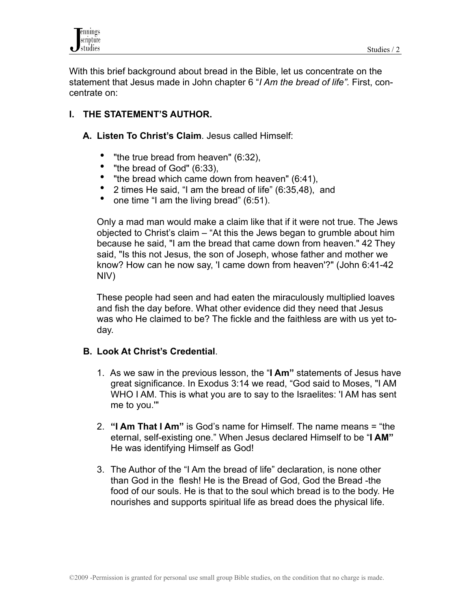

With this brief background about bread in the Bible, let us concentrate on the statement that Jesus made in John chapter 6 "*I Am the bread of life".* First, concentrate on:

## **I. THE STATEMENT'S AUTHOR.**

- **A. Listen To Christ's Claim**. Jesus called Himself:
	- "the true bread from heaven" (6:32),<br>• "the bread of Cod" (6:33)
	- "the bread of God" (6:33),
	- "the bread which came down from heaven" (6:41),
	- 2 times He said, "I am the bread of life" (6:35,48), and
	- one time "I am the living bread" (6:51).

 Only a mad man would make a claim like that if it were not true. The Jews objected to Christ's claim – "At this the Jews began to grumble about him because he said, "I am the bread that came down from heaven." 42 They said, "Is this not Jesus, the son of Joseph, whose father and mother we know? How can he now say, 'I came down from heaven'?" (John 6:41-42 NIV)

 These people had seen and had eaten the miraculously multiplied loaves and fish the day before. What other evidence did they need that Jesus was who He claimed to be? The fickle and the faithless are with us yet today.

### **B. Look At Christ's Credential**.

- 1. As we saw in the previous lesson, the "**I Am"** statements of Jesus have great significance. In Exodus 3:14 we read, "God said to Moses, "I AM WHO I AM. This is what you are to say to the Israelites: 'I AM has sent me to you.'"
- 2. **"I Am That I Am"** is God's name for Himself. The name means = "the eternal, self-existing one." When Jesus declared Himself to be "**I AM"** He was identifying Himself as God!
- 3. The Author of the "I Am the bread of life" declaration, is none other than God in the flesh! He is the Bread of God, God the Bread -the food of our souls. He is that to the soul which bread is to the body. He nourishes and supports spiritual life as bread does the physical life.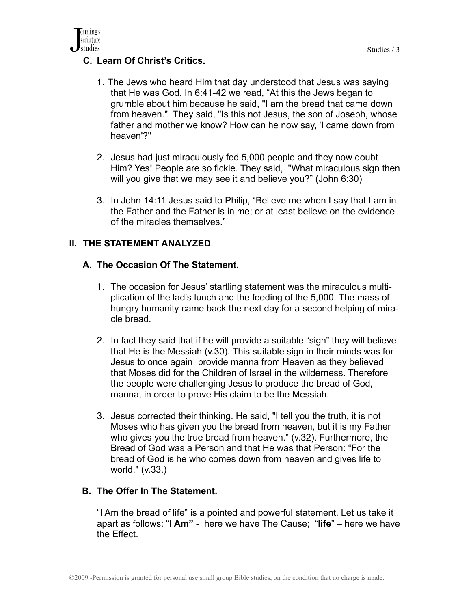

### **C. Learn Of Christ's Critics.**

- 1. The Jews who heard Him that day understood that Jesus was saying that He was God. In 6:41-42 we read, "At this the Jews began to grumble about him because he said, "I am the bread that came down from heaven." They said, "Is this not Jesus, the son of Joseph, whose father and mother we know? How can he now say, 'I came down from heaven'?"
- 2. Jesus had just miraculously fed 5,000 people and they now doubt Him? Yes! People are so fickle. They said, "What miraculous sign then will you give that we may see it and believe you?" (John 6:30)
- 3. In John 14:11 Jesus said to Philip, "Believe me when I say that I am in the Father and the Father is in me; or at least believe on the evidence of the miracles themselves."

### **II. THE STATEMENT ANALYZED**.

### **A. The Occasion Of The Statement.**

- 1. The occasion for Jesus' startling statement was the miraculous multiplication of the lad's lunch and the feeding of the 5,000. The mass of hungry humanity came back the next day for a second helping of miracle bread.
- 2. In fact they said that if he will provide a suitable "sign" they will believe that He is the Messiah (v.30). This suitable sign in their minds was for Jesus to once again provide manna from Heaven as they believed that Moses did for the Children of Israel in the wilderness. Therefore the people were challenging Jesus to produce the bread of God, manna, in order to prove His claim to be the Messiah.
- 3. Jesus corrected their thinking. He said, "I tell you the truth, it is not Moses who has given you the bread from heaven, but it is my Father who gives you the true bread from heaven." (v.32). Furthermore, the Bread of God was a Person and that He was that Person: "For the bread of God is he who comes down from heaven and gives life to world." (v.33.)

### **B. The Offer In The Statement.**

 "I Am the bread of life" is a pointed and powerful statement. Let us take it apart as follows: "**I Am"** - here we have The Cause; "**life**" – here we have the Effect.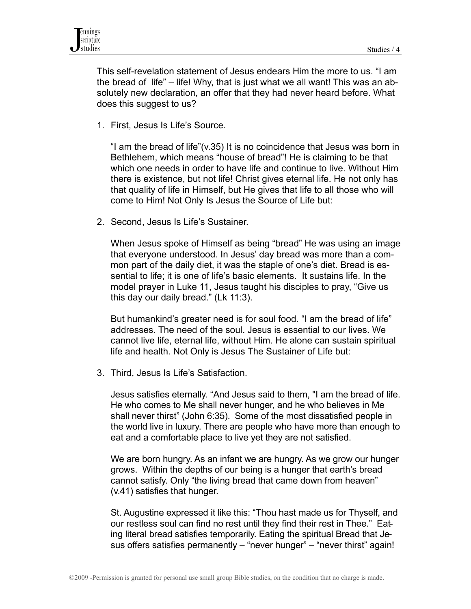This self-revelation statement of Jesus endears Him the more to us. "I am the bread of life" – life! Why, that is just what we all want! This was an absolutely new declaration, an offer that they had never heard before. What does this suggest to us?

1. First, Jesus Is Life's Source.

 "I am the bread of life"(v.35) It is no coincidence that Jesus was born in Bethlehem, which means "house of bread"! He is claiming to be that which one needs in order to have life and continue to live. Without Him there is existence, but not life! Christ gives eternal life. He not only has that quality of life in Himself, but He gives that life to all those who will come to Him! Not Only Is Jesus the Source of Life but:

2. Second, Jesus Is Life's Sustainer.

 When Jesus spoke of Himself as being "bread" He was using an image that everyone understood. In Jesus' day bread was more than a common part of the daily diet, it was the staple of one's diet. Bread is essential to life; it is one of life's basic elements. It sustains life. In the model prayer in Luke 11, Jesus taught his disciples to pray, "Give us this day our daily bread." (Lk 11:3).

 But humankind's greater need is for soul food. "I am the bread of life" addresses. The need of the soul. Jesus is essential to our lives. We cannot live life, eternal life, without Him. He alone can sustain spiritual life and health. Not Only is Jesus The Sustainer of Life but:

3. Third, Jesus Is Life's Satisfaction.

 Jesus satisfies eternally. "And Jesus said to them, "I am the bread of life. He who comes to Me shall never hunger, and he who believes in Me shall never thirst" (John 6:35). Some of the most dissatisfied people in the world live in luxury. There are people who have more than enough to eat and a comfortable place to live yet they are not satisfied.

We are born hungry. As an infant we are hungry. As we grow our hunger grows. Within the depths of our being is a hunger that earth's bread cannot satisfy. Only "the living bread that came down from heaven" (v.41) satisfies that hunger.

 St. Augustine expressed it like this: "Thou hast made us for Thyself, and our restless soul can find no rest until they find their rest in Thee." Eating literal bread satisfies temporarily. Eating the spiritual Bread that Jesus offers satisfies permanently – "never hunger" – "never thirst" again!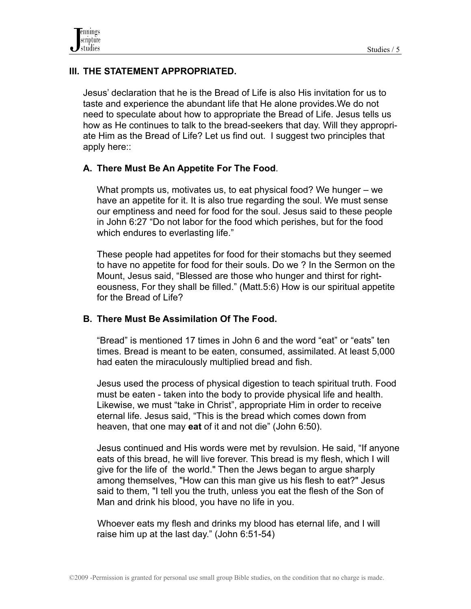# **III. THE STATEMENT APPROPRIATED.**

Jesus' declaration that he is the Bread of Life is also His invitation for us to taste and experience the abundant life that He alone provides.We do not need to speculate about how to appropriate the Bread of Life. Jesus tells us how as He continues to talk to the bread-seekers that day. Will they appropriate Him as the Bread of Life? Let us find out. I suggest two principles that apply here::

### **A. There Must Be An Appetite For The Food**.

What prompts us, motivates us, to eat physical food? We hunger – we have an appetite for it. It is also true regarding the soul. We must sense our emptiness and need for food for the soul. Jesus said to these people in John 6:27 "Do not labor for the food which perishes, but for the food which endures to everlasting life."

These people had appetites for food for their stomachs but they seemed to have no appetite for food for their souls. Do we ? In the Sermon on the Mount, Jesus said, "Blessed are those who hunger and thirst for righteousness, For they shall be filled." (Matt.5:6) How is our spiritual appetite for the Bread of Life?

### **B. There Must Be Assimilation Of The Food.**

"Bread" is mentioned 17 times in John 6 and the word "eat" or "eats" ten times. Bread is meant to be eaten, consumed, assimilated. At least 5,000 had eaten the miraculously multiplied bread and fish.

Jesus used the process of physical digestion to teach spiritual truth. Food must be eaten - taken into the body to provide physical life and health. Likewise, we must "take in Christ", appropriate Him in order to receive eternal life. Jesus said, "This is the bread which comes down from heaven, that one may **eat** of it and not die" (John 6:50).

Jesus continued and His words were met by revulsion. He said, "If anyone eats of this bread, he will live forever. This bread is my flesh, which I will give for the life of the world." Then the Jews began to argue sharply among themselves, "How can this man give us his flesh to eat?" Jesus said to them, "I tell you the truth, unless you eat the flesh of the Son of Man and drink his blood, you have no life in you.

 Whoever eats my flesh and drinks my blood has eternal life, and I will raise him up at the last day." (John 6:51-54)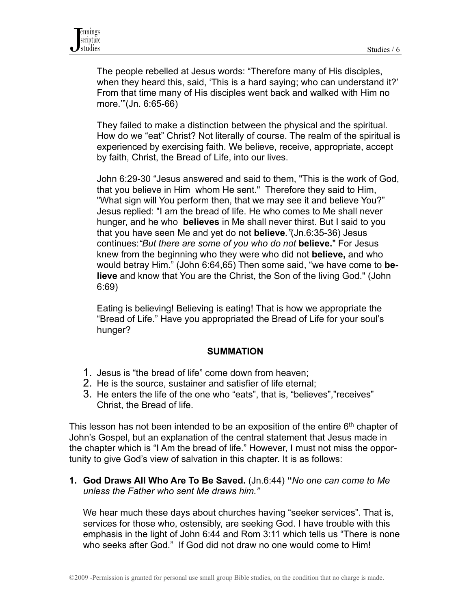The people rebelled at Jesus words: "Therefore many of His disciples, when they heard this, said, 'This is a hard saying; who can understand it?' From that time many of His disciples went back and walked with Him no more.'"(Jn. 6:65-66)

They failed to make a distinction between the physical and the spiritual. How do we "eat" Christ? Not literally of course. The realm of the spiritual is experienced by exercising faith. We believe, receive, appropriate, accept by faith, Christ, the Bread of Life, into our lives.

John 6:29-30 "Jesus answered and said to them, "This is the work of God, that you believe in Him whom He sent." Therefore they said to Him, "What sign will You perform then, that we may see it and believe You?" Jesus replied: "I am the bread of life. He who comes to Me shall never hunger, and he who **believes** in Me shall never thirst. But I said to you that you have seen Me and yet do not **believe***."*(Jn.6:35-36) Jesus continues:*"But there are some of you who do not* **believe.**" For Jesus knew from the beginning who they were who did not **believe,** and who would betray Him." (John 6:64,65) Then some said, "we have come to **believe** and know that You are the Christ, the Son of the living God." (John 6:69)

Eating is believing! Believing is eating! That is how we appropriate the "Bread of Life." Have you appropriated the Bread of Life for your soul's hunger?

#### **SUMMATION**

- 1. Jesus is "the bread of life" come down from heaven;
- 2. He is the source, sustainer and satisfier of life eternal;
- 3. He enters the life of the one who "eats", that is, "believes","receives" Christ, the Bread of life.

This lesson has not been intended to be an exposition of the entire  $6<sup>th</sup>$  chapter of John's Gospel, but an explanation of the central statement that Jesus made in the chapter which is "I Am the bread of life." However, I must not miss the opportunity to give God's view of salvation in this chapter. It is as follows:

**1. God Draws All Who Are To Be Saved.** (Jn.6:44) **"***No one can come to Me unless the Father who sent Me draws him."*

 We hear much these days about churches having "seeker services". That is, services for those who, ostensibly, are seeking God. I have trouble with this emphasis in the light of John 6:44 and Rom 3:11 which tells us "There is none who seeks after God." If God did not draw no one would come to Him!